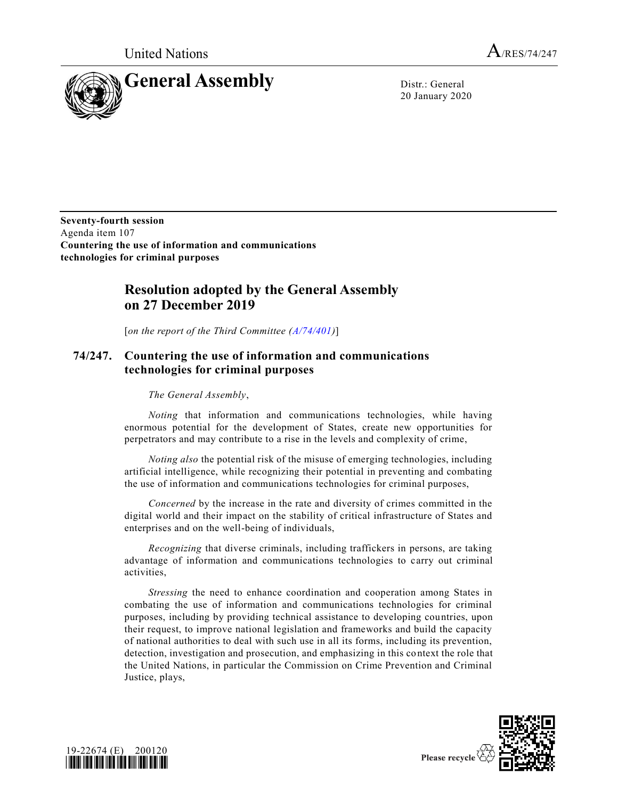United Nations  $A_{/RES/74/247}$ 



20 January 2020

**Seventy-fourth session** Agenda item 107 **Countering the use of information and communications technologies for criminal purposes**

## **Resolution adopted by the General Assembly on 27 December 2019**

[*on the report of the Third Committee [\(A/74/401\)](https://undocs.org/en/A/74/401)*]

## **74/247. Countering the use of information and communications technologies for criminal purposes**

## *The General Assembly*,

*Noting* that information and communications technologies, while having enormous potential for the development of States, create new opportunities for perpetrators and may contribute to a rise in the levels and complexity of crime,

*Noting also* the potential risk of the misuse of emerging technologies, including artificial intelligence, while recognizing their potential in preventing and combating the use of information and communications technologies for criminal purposes,

*Concerned* by the increase in the rate and diversity of crimes committed in the digital world and their impact on the stability of critical infrastructure of States and enterprises and on the well-being of individuals,

*Recognizing* that diverse criminals, including traffickers in persons, are taking advantage of information and communications technologies to carry out criminal activities,

*Stressing* the need to enhance coordination and cooperation among States in combating the use of information and communications technologies for criminal purposes, including by providing technical assistance to developing countries, upon their request, to improve national legislation and frameworks and build the capacity of national authorities to deal with such use in all its forms, including its prevention, detection, investigation and prosecution, and emphasizing in this context the role that the United Nations, in particular the Commission on Crime Prevention and Criminal Justice, plays,





Please recycle  $\heartsuit$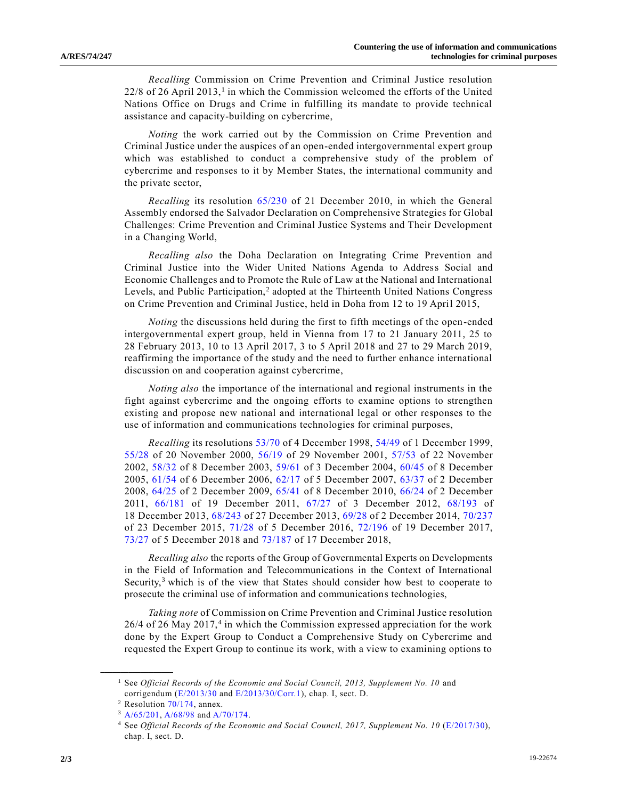*Recalling* Commission on Crime Prevention and Criminal Justice resolution  $22/8$  of 26 April 2013,<sup>1</sup> in which the Commission welcomed the efforts of the United Nations Office on Drugs and Crime in fulfilling its mandate to provide technical assistance and capacity-building on cybercrime,

*Noting* the work carried out by the Commission on Crime Prevention and Criminal Justice under the auspices of an open-ended intergovernmental expert group which was established to conduct a comprehensive study of the problem of cybercrime and responses to it by Member States, the international community and the private sector,

*Recalling* its resolution [65/230](https://undocs.org/en/A/RES/65/230) of 21 December 2010, in which the General Assembly endorsed the Salvador Declaration on Comprehensive Strategies for Global Challenges: Crime Prevention and Criminal Justice Systems and Their Development in a Changing World,

*Recalling also* the Doha Declaration on Integrating Crime Prevention and Criminal Justice into the Wider United Nations Agenda to Address Social and Economic Challenges and to Promote the Rule of Law at the National and International Levels, and Public Participation,<sup>2</sup> adopted at the Thirteenth United Nations Congress on Crime Prevention and Criminal Justice, held in Doha from 12 to 19 April 2015,

*Noting* the discussions held during the first to fifth meetings of the open-ended intergovernmental expert group, held in Vienna from 17 to 21 January 2011, 25 to 28 February 2013, 10 to 13 April 2017, 3 to 5 April 2018 and 27 to 29 March 2019, reaffirming the importance of the study and the need to further enhance international discussion on and cooperation against cybercrime,

*Noting also* the importance of the international and regional instruments in the fight against cybercrime and the ongoing efforts to examine options to strengthen existing and propose new national and international legal or other responses to the use of information and communications technologies for criminal purposes,

*Recalling* its resolutions [53/70](https://undocs.org/en/A/RES/53/70) of 4 December 1998, [54/49](https://undocs.org/en/A/RES/54/49) of 1 December 1999, [55/28](https://undocs.org/en/A/RES/55/28) of 20 November 2000, [56/19](https://undocs.org/en/A/RES/56/19) of 29 November 2001, [57/53](https://undocs.org/en/A/RES/57/53) of 22 November 2002, [58/32](https://undocs.org/en/A/RES/58/32) of 8 December 2003, [59/61](https://undocs.org/en/A/RES/59/61) of 3 December 2004, [60/45](https://undocs.org/en/A/RES/60/45) of 8 December 2005, [61/54](https://undocs.org/en/A/RES/61/54) of 6 December 2006, [62/17](https://undocs.org/en/A/RES/62/17) of 5 December 2007, [63/37](https://undocs.org/en/A/RES/63/37) of 2 December 2008, [64/25](https://undocs.org/en/A/RES/64/25) of 2 December 2009, [65/41](https://undocs.org/en/A/RES/65/41) of 8 December 2010, [66/24](https://undocs.org/en/A/RES/66/24) of 2 December 2011, [66/181](https://undocs.org/en/A/RES/66/181) of 19 December 2011, [67/27](https://undocs.org/en/A/RES/67/27) of 3 December 2012, [68/193](https://undocs.org/en/A/RES/68/193) of 18 December 2013, [68/243](https://undocs.org/en/A/RES/68/243) of 27 December 2013, [69/28](https://undocs.org/en/A/RES/69/28) of 2 December 2014, [70/237](https://undocs.org/en/A/RES/70/237) of 23 December 2015, [71/28](https://undocs.org/en/A/RES/71/28) of 5 December 2016, [72/196](https://undocs.org/en/A/RES/72/196) of 19 December 2017, [73/27](https://undocs.org/en/A/RES/73/27) of 5 December 2018 and [73/187](https://undocs.org/en/A/RES/73/187) of 17 December 2018,

*Recalling also* the reports of the Group of Governmental Experts on Developments in the Field of Information and Telecommunications in the Context of International Security,<sup>3</sup> which is of the view that States should consider how best to cooperate to prosecute the criminal use of information and communications technologies,

*Taking note* of Commission on Crime Prevention and Criminal Justice resolution 26/4 of 26 May 2017,<sup>4</sup> in which the Commission expressed appreciation for the work done by the Expert Group to Conduct a Comprehensive Study on Cybercrime and requested the Expert Group to continue its work, with a view to examining options to

**\_\_\_\_\_\_\_\_\_\_\_\_\_\_\_\_\_\_**

<sup>&</sup>lt;sup>1</sup> See *Official Records of the Economic and Social Council, 2013, Supplement No. 10* and corrigendum [\(E/2013/30](https://undocs.org/en/E/2013/30) and [E/2013/30/Corr.1\)](https://undocs.org/en/E/2013/30/Corr.1), chap. I, sect. D.

<sup>2</sup> Resolution [70/174,](https://undocs.org/en/A/RES/70/174) annex.

<sup>3</sup> [A/65/201,](https://undocs.org/en/A/65/201) [A/68/98](https://undocs.org/en/A/68/98) and [A/70/174.](https://undocs.org/en/A/70/174)

<sup>4</sup> See *Official Records of the Economic and Social Council, 2017, Supplement No. 10* [\(E/2017/30\)](https://undocs.org/en/E/2017/30), chap. I, sect. D.